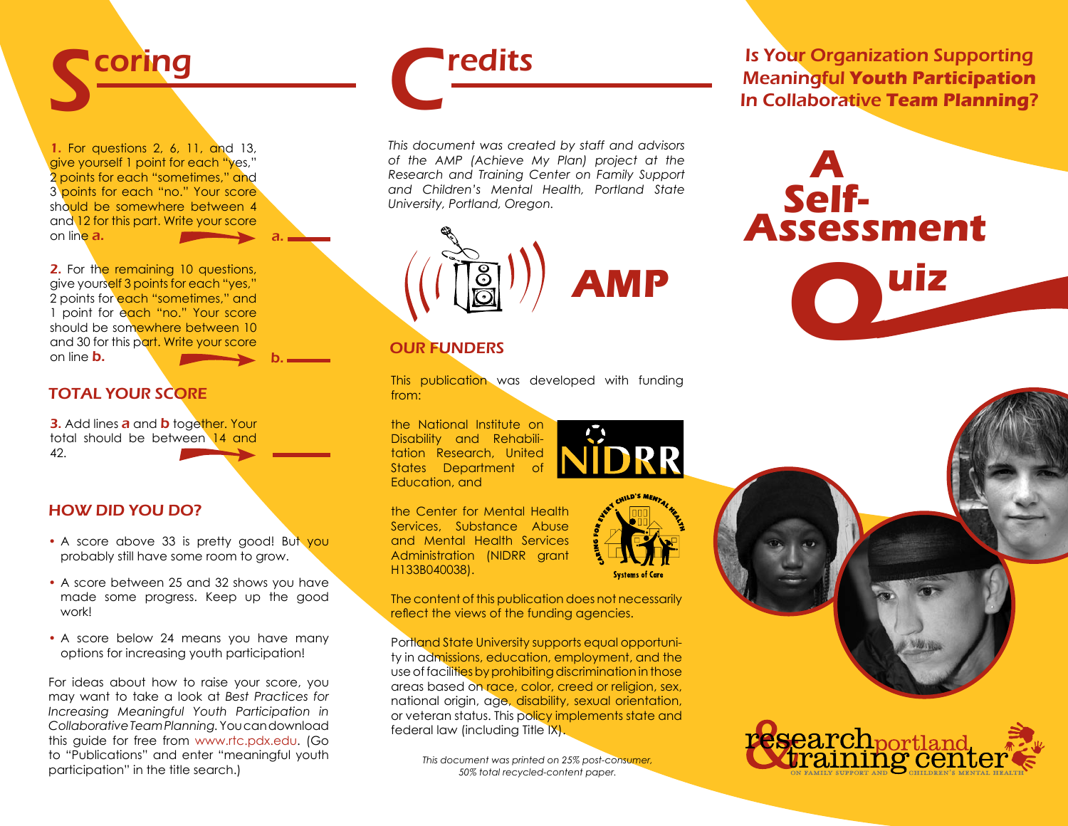1. For questions 2, 6, 11, and 13, give yourself 1 point for each "yes," 2 points for each "sometimes," and 3 points for each "no." Your score should be somewhere between 4 and 12 for this part. Write your score on line **a**.

a.

b.

2. For the remaining 10 questions, give yourself 3 points for each "yes," 2 points for each "sometimes," and 1 point for each "no." Your score should be somewhere between 10 and 30 for this part. Write your score on line b.

### TOTAL YOUR SCORE

3. Add lines a and **b** together. Your total should be between 14 and 42.

#### HOW DID YOU DO?

- A score above 33 is pretty good! But you probably still have some room to grow.
- A score between 25 and 32 shows you have made some progress. Keep up the good work!
- A score below 24 means you have many options for increasing youth participation!

For ideas about how to raise your score, you may want to take a look at *Best Practices for Increasing Meaningful Youth Participation in Collaborative Team Planning.* You can download this guide for free from www.rtc.pdx.edu. (Go to "Publications" and enter "meaningful youth participation" in the title search.)

# redits

*This document was created by staff and advisors of the AMP (Achieve My Plan) project at the Research and Training Center on Family Support and Children's Mental Health, Portland State University, Portland, Oregon.*

# **AMP**

## OUR FUNDERS

the Center for Mental Health Services, Substance Abuse and Mental Health Services Administration (NIDRR grant H133B040038).



**Systems of Care** 

The content of this publication does not necessarily reflect the views of the funding agencies.

Portland State University supports equal opportunity in admissions, education, employment, and the use of facilities by prohibiting discrimination in those areas based on race, color, creed or religion, sex, national origin, age, disability, sexual orientation, or veteran status. This policy implements state and federal law (including Title IX).

> *This document was printed on 25% post-consumer, 50% total recycled-content paper.*

# Scoring Earth of Tedits Experiment Scoring Meaningful Youth Participation<br>In Collaborative Team Planning? Meaningful **Youth Participation** In Collaborative **Team Planning**?







This publication was developed with funding from:

Disability and Rehabilitation Research, United States Department of Education, and

the National Institute on